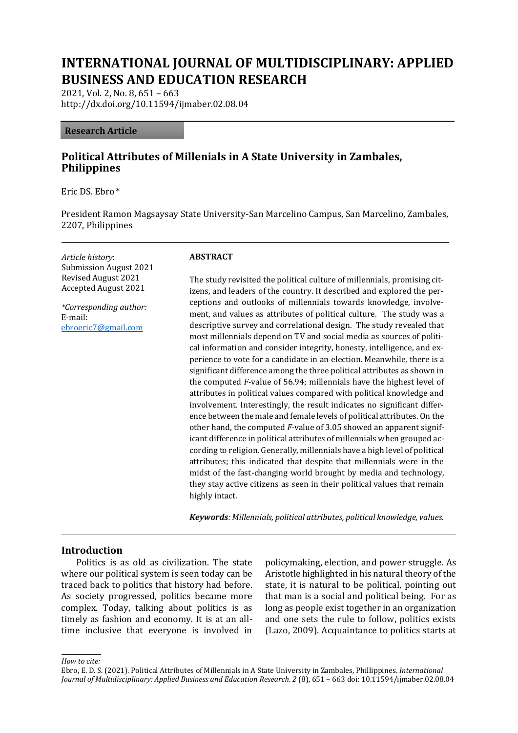# **INTERNATIONAL JOURNAL OF MULTIDISCIPLINARY: APPLIED BUSINESS AND EDUCATION RESEARCH**

2021, Vol. 2, No. 8, 651 – 663 http://dx.doi.org/10.11594/ijmaber.02.08.04

#### **Research Article**

# **Political Attributes of Millenials in A State University in Zambales, Philippines**

Eric DS. Ebro \*

President Ramon Magsaysay State University-San Marcelino Campus, San Marcelino, Zambales, 2207, Philippines

*Article history*: Submission August 2021 Revised August 2021 Accepted August 2021

*\*Corresponding author:* E-mail: [ebroeric7@gmail.com](mailto:ebroeric7@gmail.com)

#### **ABSTRACT**

The study revisited the political culture of millennials, promising citizens, and leaders of the country. It described and explored the perceptions and outlooks of millennials towards knowledge, involvement, and values as attributes of political culture. The study was a descriptive survey and correlational design. The study revealed that most millennials depend on TV and social media as sources of political information and consider integrity, honesty, intelligence, and experience to vote for a candidate in an election. Meanwhile, there is a significant difference among the three political attributes as shown in the computed *F-*value of 56.94; millennials have the highest level of attributes in political values compared with political knowledge and involvement. Interestingly, the result indicates no significant difference between the male and female levels of political attributes. On the other hand, the computed *F-*value of 3.05 showed an apparent significant difference in political attributes of millennials when grouped according to religion. Generally, millennials have a high level of political attributes; this indicated that despite that millennials were in the midst of the fast-changing world brought by media and technology, they stay active citizens as seen in their political values that remain highly intact.

*Keywords: Millennials, political attributes, political knowledge, values.*

#### **Introduction**

Politics is as old as civilization. The state where our political system is seen today can be traced back to politics that history had before. As society progressed, politics became more complex. Today, talking about politics is as timely as fashion and economy. It is at an alltime inclusive that everyone is involved in

policymaking, election, and power struggle. As Aristotle highlighted in his natural theory of the state, it is natural to be political, pointing out that man is a social and political being. For as long as people exist together in an organization and one sets the rule to follow, politics exists (Lazo, 2009). Acquaintance to politics starts at

*How to cite:*

Ebro, E. D. S. (2021). Political Attributes of Millennials in A State University in Zambales, Phillippines. *International Journal of Multidisciplinary: Applied Business and Education Research*. *2* (8), 651 – 663 doi: 10.11594/ijmaber.02.08.04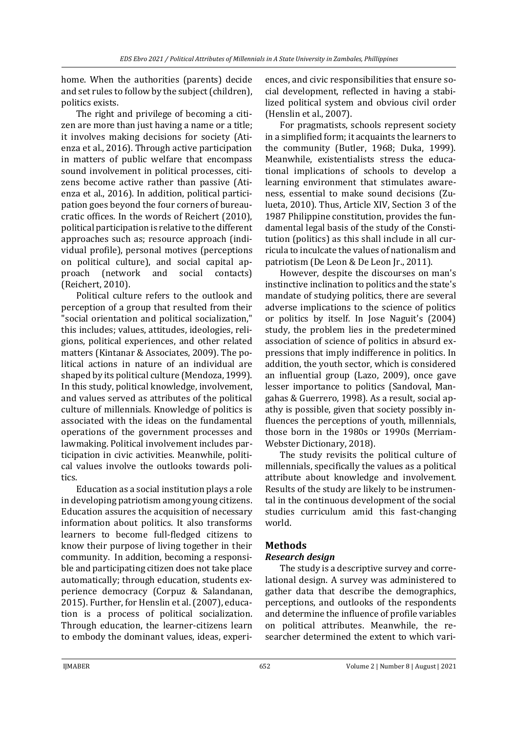home. When the authorities (parents) decide and set rules to follow by the subject (children), politics exists.

The right and privilege of becoming a citizen are more than just having a name or a title; it involves making decisions for society (Atienza et al., 2016). Through active participation in matters of public welfare that encompass sound involvement in political processes, citizens become active rather than passive (Atienza et al., 2016). In addition, political participation goes beyond the four corners of bureaucratic offices. In the words of Reichert (2010), political participation is relative to the different approaches such as; resource approach (individual profile), personal motives (perceptions on political culture), and social capital approach (network and social contacts) (Reichert, 2010).

Political culture refers to the outlook and perception of a group that resulted from their "social orientation and political socialization," this includes; values, attitudes, ideologies, religions, political experiences, and other related matters (Kintanar & Associates, 2009). The political actions in nature of an individual are shaped by its political culture (Mendoza, 1999). In this study, political knowledge, involvement, and values served as attributes of the political culture of millennials. Knowledge of politics is associated with the ideas on the fundamental operations of the government processes and lawmaking. Political involvement includes participation in civic activities. Meanwhile, political values involve the outlooks towards politics.

Education as a social institution plays a role in developing patriotism among young citizens. Education assures the acquisition of necessary information about politics. It also transforms learners to become full-fledged citizens to know their purpose of living together in their community. In addition, becoming a responsible and participating citizen does not take place automatically; through education, students experience democracy (Corpuz & Salandanan, 2015). Further, for Henslin et al. (2007), education is a process of political socialization. Through education, the learner-citizens learn to embody the dominant values, ideas, experi-

ences, and civic responsibilities that ensure social development, reflected in having a stabilized political system and obvious civil order (Henslin et al., 2007).

For pragmatists, schools represent society in a simplified form; it acquaints the learners to the community (Butler, 1968; Duka, 1999). Meanwhile, existentialists stress the educational implications of schools to develop a learning environment that stimulates awareness, essential to make sound decisions (Zulueta, 2010). Thus, Article XIV, Section 3 of the 1987 Philippine constitution, provides the fundamental legal basis of the study of the Constitution (politics) as this shall include in all curricula to inculcate the values of nationalism and patriotism (De Leon & De Leon Jr., 2011).

However, despite the discourses on man's instinctive inclination to politics and the state's mandate of studying politics, there are several adverse implications to the science of politics or politics by itself. In Jose Naguit's (2004) study, the problem lies in the predetermined association of science of politics in absurd expressions that imply indifference in politics. In addition, the youth sector, which is considered an influential group (Lazo, 2009), once gave lesser importance to politics (Sandoval, Mangahas & Guerrero, 1998). As a result, social apathy is possible, given that society possibly influences the perceptions of youth, millennials, those born in the 1980s or 1990s (Merriam-Webster Dictionary, 2018).

The study revisits the political culture of millennials, specifically the values as a political attribute about knowledge and involvement. Results of the study are likely to be instrumental in the continuous development of the social studies curriculum amid this fast-changing world.

# **Methods**

# *Research design*

The study is a descriptive survey and correlational design. A survey was administered to gather data that describe the demographics, perceptions, and outlooks of the respondents and determine the influence of profile variables on political attributes. Meanwhile, the researcher determined the extent to which vari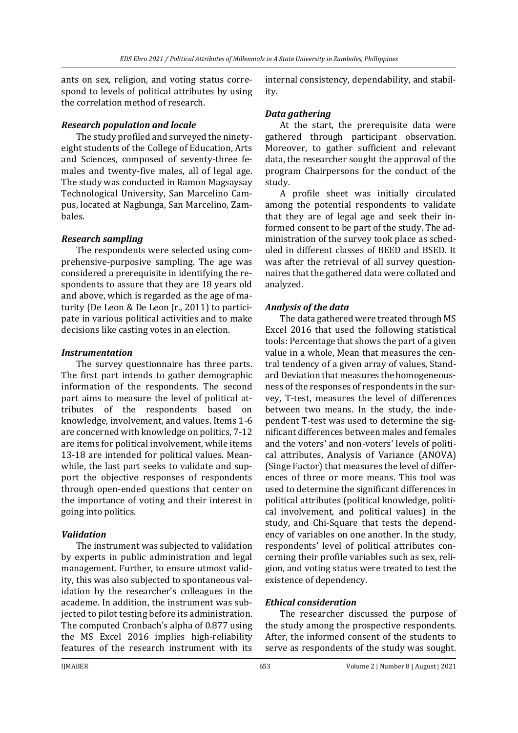ants on sex, religion, and voting status correspond to levels of political attributes by using the correlation method of research.

#### *Research population and locale*

The study profiled and surveyed the ninetyeight students of the College of Education, Arts and Sciences, composed of seventy-three females and twenty-five males, all of legal age. The study was conducted in Ramon Magsaysay Technological University, San Marcelino Campus, located at Nagbunga, San Marcelino, Zambales.

#### *Research sampling*

The respondents were selected using comprehensive-purposive sampling. The age was considered a prerequisite in identifying the respondents to assure that they are 18 years old and above, which is regarded as the age of maturity (De Leon & De Leon Jr., 2011) to participate in various political activities and to make decisions like casting votes in an election.

#### *Instrumentation*

The survey questionnaire has three parts. The first part intends to gather demographic information of the respondents. The second part aims to measure the level of political attributes of the respondents based on knowledge, involvement, and values. Items 1-6 are concerned with knowledge on politics, 7-12 are items for political involvement, while items 13-18 are intended for political values. Meanwhile, the last part seeks to validate and support the objective responses of respondents through open-ended questions that center on the importance of voting and their interest in going into politics.

#### *Validation*

The instrument was subjected to validation by experts in public administration and legal management. Further, to ensure utmost validity, this was also subjected to spontaneous validation by the researcher's colleagues in the academe. In addition, the instrument was subjected to pilot testing before its administration. The computed Cronbach's alpha of 0.877 using the MS Excel 2016 implies high-reliability features of the research instrument with its internal consistency, dependability, and stability.

## *Data gathering*

At the start, the prerequisite data were gathered through participant observation. Moreover, to gather sufficient and relevant data, the researcher sought the approval of the program Chairpersons for the conduct of the study.

A profile sheet was initially circulated among the potential respondents to validate that they are of legal age and seek their informed consent to be part of the study. The administration of the survey took place as scheduled in different classes of BEED and BSED. It was after the retrieval of all survey questionnaires that the gathered data were collated and analyzed.

#### *Analysis of the data*

The data gathered were treated through MS Excel 2016 that used the following statistical tools: Percentage that shows the part of a given value in a whole, Mean that measures the central tendency of a given array of values, Standard Deviation that measures the homogeneousness of the responses of respondents in the survey, T-test, measures the level of differences between two means. In the study, the independent T-test was used to determine the significant differences between males and females and the voters' and non-voters' levels of political attributes, Analysis of Variance (ANOVA) (Singe Factor) that measures the level of differences of three or more means. This tool was used to determine the significant differences in political attributes (political knowledge, political involvement, and political values) in the study, and Chi-Square that tests the dependency of variables on one another. In the study, respondents' level of political attributes concerning their profile variables such as sex, religion, and voting status were treated to test the existence of dependency.

#### *Ethical consideration*

The researcher discussed the purpose of the study among the prospective respondents. After, the informed consent of the students to serve as respondents of the study was sought.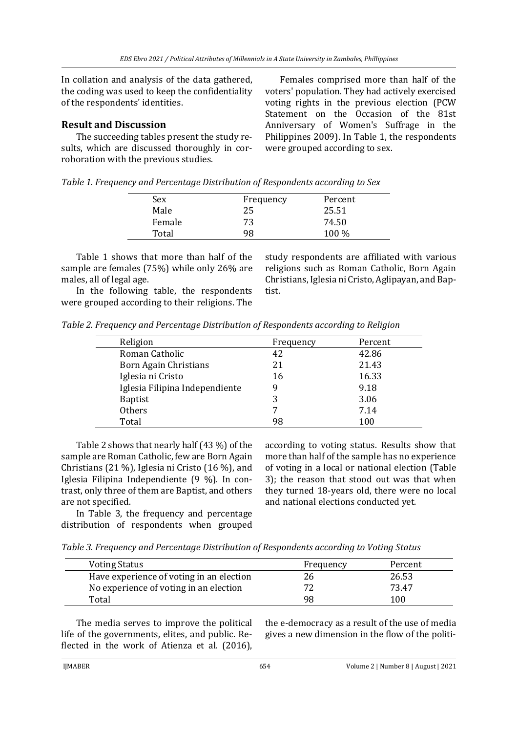In collation and analysis of the data gathered, the coding was used to keep the confidentiality of the respondents' identities.

## **Result and Discussion**

The succeeding tables present the study results, which are discussed thoroughly in corroboration with the previous studies.

Females comprised more than half of the voters' population. They had actively exercised voting rights in the previous election (PCW Statement on the Occasion of the 81st Anniversary of Women's Suffrage in the Philippines 2009). In Table 1, the respondents were grouped according to sex.

|  |  | Table 1. Frequency and Percentage Distribution of Respondents according to Sex |
|--|--|--------------------------------------------------------------------------------|
|  |  |                                                                                |

| Sex    | Frequency | Percent |
|--------|-----------|---------|
| Male   | 25        | 25.51   |
| Female | 73        | 74.50   |
| Total  | q႙        | $100\%$ |

Table 1 shows that more than half of the sample are females (75%) while only 26% are males, all of legal age.

In the following table, the respondents were grouped according to their religions. The study respondents are affiliated with various religions such as Roman Catholic, Born Again Christians, Iglesia ni Cristo, Aglipayan, and Baptist.

*Table 2. Frequency and Percentage Distribution of Respondents according to Religion*

| Religion                       | Frequency | Percent |
|--------------------------------|-----------|---------|
| Roman Catholic                 | 42        | 42.86   |
| <b>Born Again Christians</b>   | 21        | 21.43   |
| Iglesia ni Cristo              | 16        | 16.33   |
| Iglesia Filipina Independiente | 9         | 9.18    |
| <b>Baptist</b>                 | 3         | 3.06    |
| Others                         | 7         | 7.14    |
| Total                          | 98        | 100     |
|                                |           |         |

Table 2 shows that nearly half (43 %) of the sample are Roman Catholic, few are Born Again Christians (21 %), Iglesia ni Cristo (16 %), and Iglesia Filipina Independiente (9 %). In contrast, only three of them are Baptist, and others are not specified.

In Table 3, the frequency and percentage distribution of respondents when grouped according to voting status. Results show that more than half of the sample has no experience of voting in a local or national election (Table 3); the reason that stood out was that when they turned 18-years old, there were no local and national elections conducted yet.

*Table 3. Frequency and Percentage Distribution of Respondents according to Voting Status*

| <b>Voting Status</b>                     | Frequency | Percent |
|------------------------------------------|-----------|---------|
| Have experience of voting in an election | 26        | 26.53   |
| No experience of voting in an election   |           | 73.47   |
| Total                                    | 98        | 100     |

The media serves to improve the political life of the governments, elites, and public. Reflected in the work of Atienza et al. (2016),

the e-democracy as a result of the use of media gives a new dimension in the flow of the politi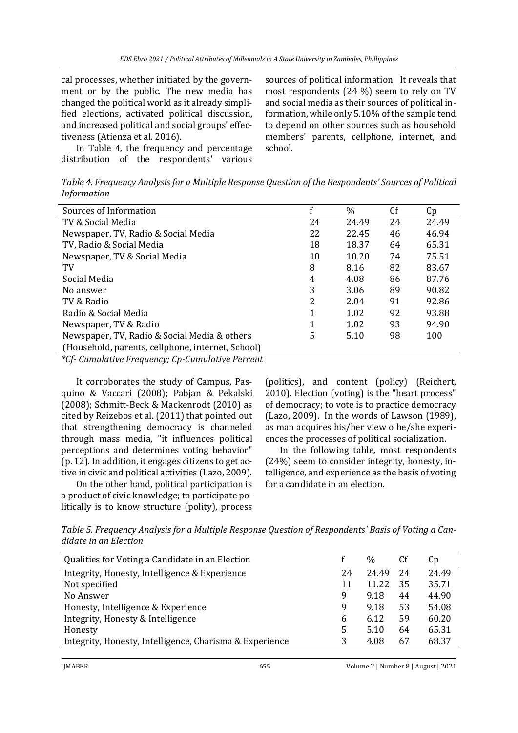cal processes, whether initiated by the government or by the public. The new media has changed the political world as it already simplified elections, activated political discussion, and increased political and social groups' effectiveness (Atienza et al. 2016).

In Table 4, the frequency and percentage distribution of the respondents' various sources of political information. It reveals that most respondents (24 %) seem to rely on TV and social media as their sources of political information, while only 5.10% of the sample tend to depend on other sources such as household members' parents, cellphone, internet, and school.

*Table 4. Frequency Analysis for a Multiple Response Question of the Respondents' Sources of Political Information* 

| Sources of Information                            |    | $\%$  | Cf | Cp    |
|---------------------------------------------------|----|-------|----|-------|
| TV & Social Media                                 | 24 | 24.49 | 24 | 24.49 |
| Newspaper, TV, Radio & Social Media               | 22 | 22.45 | 46 | 46.94 |
| TV, Radio & Social Media                          | 18 | 18.37 | 64 | 65.31 |
| Newspaper, TV & Social Media                      | 10 | 10.20 | 74 | 75.51 |
| TV                                                | 8  | 8.16  | 82 | 83.67 |
| Social Media                                      | 4  | 4.08  | 86 | 87.76 |
| No answer                                         | 3  | 3.06  | 89 | 90.82 |
| TV & Radio                                        | 2  | 2.04  | 91 | 92.86 |
| Radio & Social Media                              | 1  | 1.02  | 92 | 93.88 |
| Newspaper, TV & Radio                             |    | 1.02  | 93 | 94.90 |
| Newspaper, TV, Radio & Social Media & others      | 5  | 5.10  | 98 | 100   |
| (Household, parents, cellphone, internet, School) |    |       |    |       |

*\*Cf- Cumulative Frequency; Cp-Cumulative Percent*

It corroborates the study of Campus, Pasquino & Vaccari (2008); Pabjan & Pekalski (2008); Schmitt-Beck & Mackenrodt (2010) as cited by Reizebos et al. (2011) that pointed out that strengthening democracy is channeled through mass media, "it influences political perceptions and determines voting behavior" (p. 12). In addition, it engages citizens to get active in civic and political activities (Lazo, 2009).

On the other hand, political participation is a product of civic knowledge; to participate politically is to know structure (polity), process (politics), and content (policy) (Reichert, 2010). Election (voting) is the "heart process" of democracy; to vote is to practice democracy (Lazo, 2009). In the words of Lawson (1989), as man acquires his/her view o he/she experiences the processes of political socialization.

In the following table, most respondents (24%) seem to consider integrity, honesty, intelligence, and experience as the basis of voting for a candidate in an election.

*Table 5. Frequency Analysis for a Multiple Response Question of Respondents' Basis of Voting a Candidate in an Election*

| Qualities for Voting a Candidate in an Election         |    | $\%$  | Cf | Cp    |
|---------------------------------------------------------|----|-------|----|-------|
| Integrity, Honesty, Intelligence & Experience           | 24 | 24.49 | 24 | 24.49 |
| Not specified                                           | 11 | 11.22 | 35 | 35.71 |
| No Answer                                               | 9  | 9.18  | 44 | 44.90 |
| Honesty, Intelligence & Experience                      | 9  | 9.18  | 53 | 54.08 |
| Integrity, Honesty & Intelligence                       | 6  | 6.12  | 59 | 60.20 |
| Honesty                                                 | 5  | 5.10  | 64 | 65.31 |
| Integrity, Honesty, Intelligence, Charisma & Experience | 3  | 4.08  | 67 | 68.37 |
|                                                         |    |       |    |       |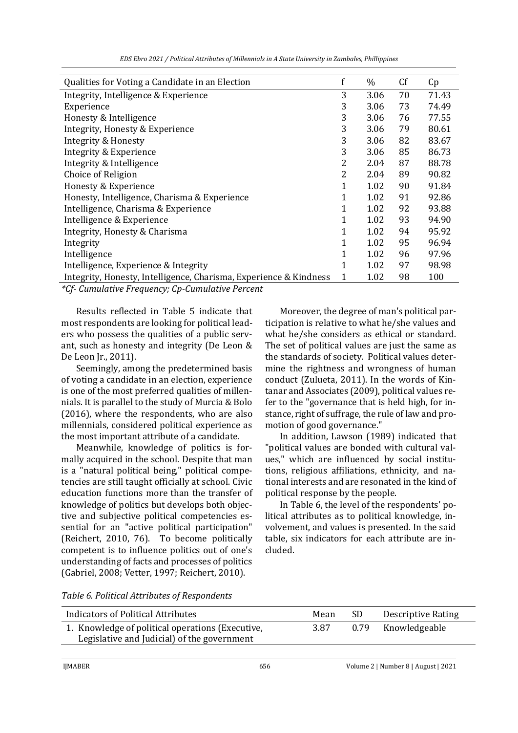|  | EDS Ebro 2021 / Political Attributes of Millennials in A State University in Zambales, Phillippines |
|--|-----------------------------------------------------------------------------------------------------|
|--|-----------------------------------------------------------------------------------------------------|

| Qualities for Voting a Candidate in an Election                   | f | $\%$ | Cf | Cp    |
|-------------------------------------------------------------------|---|------|----|-------|
| Integrity, Intelligence & Experience                              | 3 | 3.06 | 70 | 71.43 |
| Experience                                                        | 3 | 3.06 | 73 | 74.49 |
| Honesty & Intelligence                                            | 3 | 3.06 | 76 | 77.55 |
| Integrity, Honesty & Experience                                   | 3 | 3.06 | 79 | 80.61 |
| Integrity & Honesty                                               | 3 | 3.06 | 82 | 83.67 |
| Integrity & Experience                                            | 3 | 3.06 | 85 | 86.73 |
| Integrity & Intelligence                                          | 2 | 2.04 | 87 | 88.78 |
| Choice of Religion                                                | 2 | 2.04 | 89 | 90.82 |
| Honesty & Experience                                              | 1 | 1.02 | 90 | 91.84 |
| Honesty, Intelligence, Charisma & Experience                      | 1 | 1.02 | 91 | 92.86 |
| Intelligence, Charisma & Experience                               | 1 | 1.02 | 92 | 93.88 |
| Intelligence & Experience                                         | 1 | 1.02 | 93 | 94.90 |
| Integrity, Honesty & Charisma                                     | 1 | 1.02 | 94 | 95.92 |
| Integrity                                                         | 1 | 1.02 | 95 | 96.94 |
| Intelligence                                                      | 1 | 1.02 | 96 | 97.96 |
| Intelligence, Experience & Integrity                              | 1 | 1.02 | 97 | 98.98 |
| Integrity, Honesty, Intelligence, Charisma, Experience & Kindness | 1 | 1.02 | 98 | 100   |
|                                                                   |   |      |    |       |

*\*Cf- Cumulative Frequency; Cp-Cumulative Percent* 

Results reflected in Table 5 indicate that most respondents are looking for political leaders who possess the qualities of a public servant, such as honesty and integrity (De Leon & De Leon Jr., 2011).

Seemingly, among the predetermined basis of voting a candidate in an election, experience is one of the most preferred qualities of millennials. It is parallel to the study of Murcia & Bolo (2016), where the respondents, who are also millennials, considered political experience as the most important attribute of a candidate.

Meanwhile, knowledge of politics is formally acquired in the school. Despite that man is a "natural political being," political competencies are still taught officially at school. Civic education functions more than the transfer of knowledge of politics but develops both objective and subjective political competencies essential for an "active political participation" (Reichert, 2010, 76). To become politically competent is to influence politics out of one's understanding of facts and processes of politics (Gabriel, 2008; Vetter, 1997; Reichert, 2010).

Moreover, the degree of man's political participation is relative to what he/she values and what he/she considers as ethical or standard. The set of political values are just the same as the standards of society. Political values determine the rightness and wrongness of human conduct (Zulueta, 2011). In the words of Kintanar and Associates (2009), political values refer to the "governance that is held high, for instance, right of suffrage, the rule of law and promotion of good governance."

In addition, Lawson (1989) indicated that "political values are bonded with cultural values," which are influenced by social institutions, religious affiliations, ethnicity, and national interests and are resonated in the kind of political response by the people.

In Table 6, the level of the respondents' political attributes as to political knowledge, involvement, and values is presented. In the said table, six indicators for each attribute are included.

| Table 6. Political Attributes of Respondents |
|----------------------------------------------|
|----------------------------------------------|

| <b>Indicators of Political Attributes</b>                                                       | Mean | -SD  | Descriptive Rating |
|-------------------------------------------------------------------------------------------------|------|------|--------------------|
| 1. Knowledge of political operations (Executive,<br>Legislative and Judicial) of the government | 3.87 | 0.79 | Knowledgeable      |
|                                                                                                 |      |      |                    |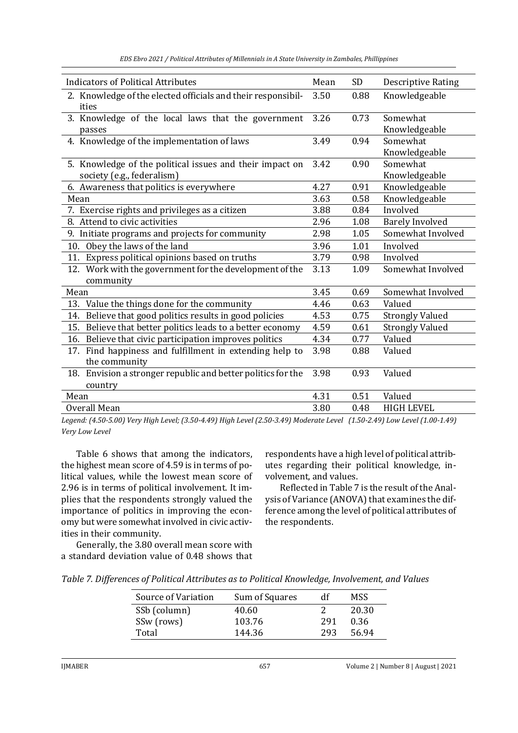*EDS Ebro 2021 / Political Attributes of Millennials in A State University in Zambales, Phillippines*

| <b>Indicators of Political Attributes</b>                    | Mean | SD   | <b>Descriptive Rating</b> |
|--------------------------------------------------------------|------|------|---------------------------|
| 2. Knowledge of the elected officials and their responsibil- | 3.50 | 0.88 | Knowledgeable             |
| ities                                                        |      |      |                           |
| 3. Knowledge of the local laws that the government           | 3.26 | 0.73 | Somewhat                  |
| passes                                                       |      |      | Knowledgeable             |
| 4. Knowledge of the implementation of laws                   | 3.49 | 0.94 | Somewhat                  |
|                                                              |      |      | Knowledgeable             |
| 5. Knowledge of the political issues and their impact on     | 3.42 | 0.90 | Somewhat                  |
| society (e.g., federalism)                                   |      |      | Knowledgeable             |
| 6. Awareness that politics is everywhere                     | 4.27 | 0.91 | Knowledgeable             |
| Mean                                                         | 3.63 | 0.58 | Knowledgeable             |
| 7. Exercise rights and privileges as a citizen               | 3.88 | 0.84 | Involved                  |
| 8. Attend to civic activities                                | 2.96 | 1.08 | <b>Barely Involved</b>    |
| 9. Initiate programs and projects for community              | 2.98 | 1.05 | Somewhat Involved         |
| Obey the laws of the land<br>10.                             | 3.96 | 1.01 | Involved                  |
| 11. Express political opinions based on truths               | 3.79 | 0.98 | Involved                  |
| 12. Work with the government for the development of the      | 3.13 | 1.09 | Somewhat Involved         |
| community                                                    |      |      |                           |
| Mean                                                         | 3.45 | 0.69 | Somewhat Involved         |
| 13. Value the things done for the community                  | 4.46 | 0.63 | Valued                    |
| 14. Believe that good politics results in good policies      | 4.53 | 0.75 | <b>Strongly Valued</b>    |
| 15. Believe that better politics leads to a better economy   | 4.59 | 0.61 | <b>Strongly Valued</b>    |
| 16. Believe that civic participation improves politics       | 4.34 | 0.77 | Valued                    |
| 17. Find happiness and fulfillment in extending help to      | 3.98 | 0.88 | Valued                    |
| the community                                                |      |      |                           |
| 18. Envision a stronger republic and better politics for the | 3.98 | 0.93 | Valued                    |
| country                                                      |      |      |                           |
| Mean                                                         | 4.31 | 0.51 | Valued                    |
| Overall Mean                                                 | 3.80 | 0.48 | <b>HIGH LEVEL</b>         |

*Legend: (4.50-5.00) Very High Level; (3.50-4.49) High Level (2.50-3.49) Moderate Level (1.50-2.49) Low Level (1.00-1.49) Very Low Level*

Table 6 shows that among the indicators, the highest mean score of 4.59 is in terms of political values, while the lowest mean score of 2.96 is in terms of political involvement. It implies that the respondents strongly valued the importance of politics in improving the economy but were somewhat involved in civic activities in their community.

respondents have a high level of political attributes regarding their political knowledge, involvement, and values.

Reflected in Table 7 is the result of the Analysis of Variance (ANOVA) that examines the difference among the level of political attributes of the respondents.

Generally, the 3.80 overall mean score with a standard deviation value of 0.48 shows that

|  | Table 7. Differences of Political Attributes as to Political Knowledge, Involvement, and Values |
|--|-------------------------------------------------------------------------------------------------|
|--|-------------------------------------------------------------------------------------------------|

| Source of Variation | Sum of Squares | df  | MSS.  |
|---------------------|----------------|-----|-------|
| SSb (column)        | 40.60          |     | 20.30 |
| SSw (rows)          | 103.76         | 291 | 0.36  |
| Total               | 144.36         | 293 | 56.94 |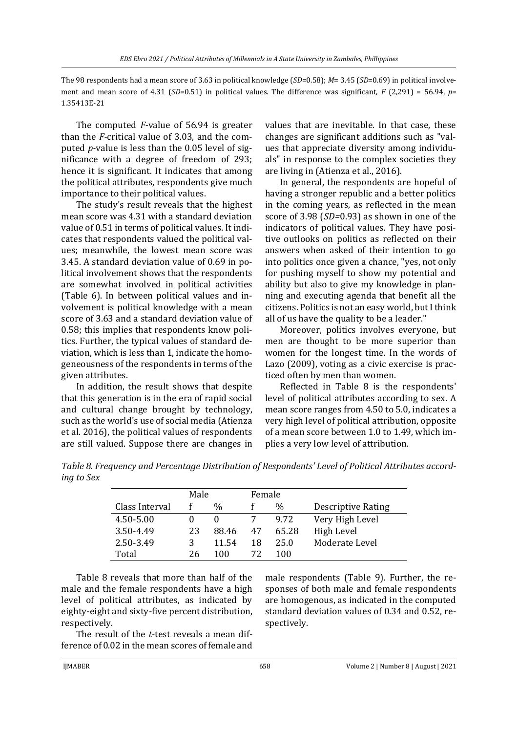The 98 respondents had a mean score of 3.63 in political knowledge (*SD*=0.58); *M*= 3.45 (*SD*=0.69) in political involvement and mean score of 4.31 (*SD*=0.51) in political values. The difference was significant, *F* (2,291) = 56.94, *p*= 1.35413E-21

The computed *F-*value of 56.94 is greater than the *F-*critical value of 3.03, and the computed *p-*value is less than the 0.05 level of significance with a degree of freedom of 293; hence it is significant. It indicates that among the political attributes, respondents give much importance to their political values.

The study's result reveals that the highest mean score was 4.31 with a standard deviation value of 0.51 in terms of political values. It indicates that respondents valued the political values; meanwhile, the lowest mean score was 3.45. A standard deviation value of 0.69 in political involvement shows that the respondents are somewhat involved in political activities (Table 6). In between political values and involvement is political knowledge with a mean score of 3.63 and a standard deviation value of 0.58; this implies that respondents know politics. Further, the typical values of standard deviation, which is less than 1, indicate the homogeneousness of the respondents in terms of the given attributes.

In addition, the result shows that despite that this generation is in the era of rapid social and cultural change brought by technology, such as the world's use of social media (Atienza et al. 2016), the political values of respondents are still valued. Suppose there are changes in values that are inevitable. In that case, these changes are significant additions such as "values that appreciate diversity among individuals" in response to the complex societies they are living in (Atienza et al., 2016).

In general, the respondents are hopeful of having a stronger republic and a better politics in the coming years, as reflected in the mean score of 3.98 (*SD=*0.93) as shown in one of the indicators of political values. They have positive outlooks on politics as reflected on their answers when asked of their intention to go into politics once given a chance, "yes, not only for pushing myself to show my potential and ability but also to give my knowledge in planning and executing agenda that benefit all the citizens. Politics is not an easy world, but I think all of us have the quality to be a leader."

Moreover, politics involves everyone, but men are thought to be more superior than women for the longest time. In the words of Lazo (2009), voting as a civic exercise is practiced often by men than women.

Reflected in Table 8 is the respondents' level of political attributes according to sex. A mean score ranges from 4.50 to 5.0, indicates a very high level of political attribution, opposite of a mean score between 1.0 to 1.49, which implies a very low level of attribution.

*Table 8. Frequency and Percentage Distribution of Respondents' Level of Political Attributes according to Sex*

|                | Male |       | Female |               |                           |
|----------------|------|-------|--------|---------------|---------------------------|
| Class Interval |      | %     |        | $\frac{0}{0}$ | <b>Descriptive Rating</b> |
| 4.50-5.00      |      |       |        | 9.72          | Very High Level           |
| 3.50-4.49      | 23   | 88.46 | 47     | 65.28         | High Level                |
| 2.50-3.49      | 3    | 11.54 | 18     | 25.0          | Moderate Level            |
| Total          | 26   | 100   | 72     | 100           |                           |

Table 8 reveals that more than half of the male and the female respondents have a high level of political attributes, as indicated by eighty-eight and sixty-five percent distribution, respectively.

The result of the *t-*test reveals a mean difference of 0.02 in the mean scores of female and male respondents (Table 9). Further, the responses of both male and female respondents are homogenous, as indicated in the computed standard deviation values of 0.34 and 0.52, respectively.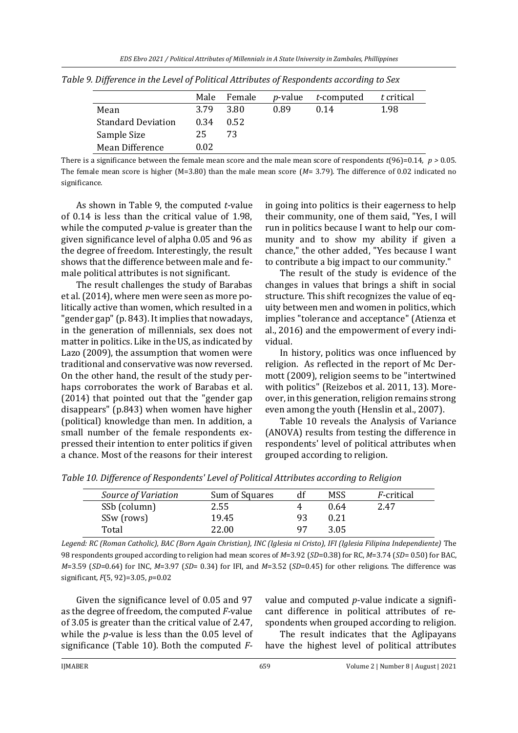|                           | Male | Female | <i>p</i> -value | t-computed | t critical |
|---------------------------|------|--------|-----------------|------------|------------|
| Mean                      | 3.79 | 3.80   | 0.89            | 0.14       | 1.98       |
| <b>Standard Deviation</b> | 0.34 | 0.52   |                 |            |            |
| Sample Size               | 25   | 73     |                 |            |            |
| Mean Difference           | 0.02 |        |                 |            |            |

*Table 9. Difference in the Level of Political Attributes of Respondents according to Sex*

There is a significance between the female mean score and the male mean score of respondents  $t(96)=0.14$ *, p* > 0.05*.* The female mean score is higher (M=3.80) than the male mean score (*M*= 3.79)*.* The difference of 0.02 indicated no significance.

As shown in Table 9, the computed *t*-value of 0.14 is less than the critical value of 1.98, while the computed *p*-value is greater than the given significance level of alpha 0.05 and 96 as the degree of freedom. Interestingly, the result shows that the difference between male and female political attributes is not significant.

The result challenges the study of Barabas et al. (2014), where men were seen as more politically active than women, which resulted in a "gender gap" (p. 843). It implies that nowadays, in the generation of millennials, sex does not matter in politics. Like in the US, as indicated by Lazo (2009), the assumption that women were traditional and conservative was now reversed. On the other hand, the result of the study perhaps corroborates the work of Barabas et al. (2014) that pointed out that the "gender gap disappears" (p.843) when women have higher (political) knowledge than men. In addition, a small number of the female respondents expressed their intention to enter politics if given a chance. Most of the reasons for their interest in going into politics is their eagerness to help their community, one of them said, "Yes, I will run in politics because I want to help our community and to show my ability if given a chance," the other added, "Yes because I want to contribute a big impact to our community."

The result of the study is evidence of the changes in values that brings a shift in social structure. This shift recognizes the value of equity between men and women in politics, which implies "tolerance and acceptance" (Atienza et al., 2016) and the empowerment of every individual.

In history, politics was once influenced by religion. As reflected in the report of Mc Dermott (2009), religion seems to be "intertwined with politics" (Reizebos et al. 2011, 13). Moreover, in this generation, religion remains strong even among the youth (Henslin et al., 2007).

Table 10 reveals the Analysis of Variance (ANOVA) results from testing the difference in respondents' level of political attributes when grouped according to religion.

*Table 10. Difference of Respondents' Level of Political Attributes according to Religion*

| Source of Variation | Sum of Squares |    | MSS  | <i>F</i> -critical |
|---------------------|----------------|----|------|--------------------|
| SSb (column)        | 2.55           |    | 0.64 | 2.47               |
| SSw (rows)          | 19.45          |    | 0.21 |                    |
| Total               | 22.00          | 97 | 3.05 |                    |

Legend: RC (Roman Catholic), BAC (Born Again Christian), INC (Iglesia ni Cristo), IFI (Iglesia Filipina Independiente) The 98 respondents grouped according to religion had mean scores of *M*=3.92 (*SD*=0.38) for RC, *M*=3.74 (*SD*= 0.50) for BAC, *M*=3.59 (*SD*=0.64) for INC, *M*=3.97 (*SD*= 0.34) for IFI, and *M*=3.52 (*SD*=0.45) for other religions. The difference was significant, *F*(5, 92)=3.05, *p*=0.02

Given the significance level of 0.05 and 97 as the degree of freedom, the computed *F-*value of 3.05 is greater than the critical value of 2.47, while the *p-*value is less than the 0.05 level of significance (Table 10). Both the computed *F-*

value and computed *p-*value indicate a significant difference in political attributes of respondents when grouped according to religion.

The result indicates that the Aglipayans have the highest level of political attributes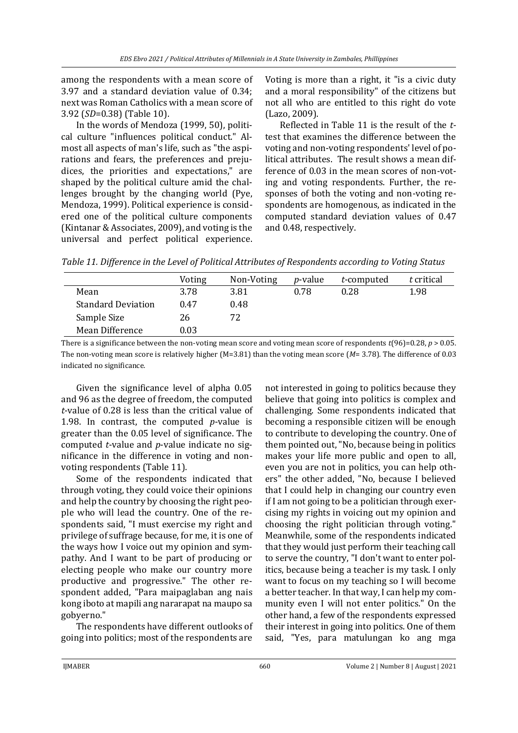among the respondents with a mean score of 3.97 and a standard deviation value of 0.34; next was Roman Catholics with a mean score of 3.92 (*SD*=0.38) (Table 10).

In the words of Mendoza (1999, 50), political culture "influences political conduct." Almost all aspects of man's life, such as "the aspirations and fears, the preferences and prejudices, the priorities and expectations," are shaped by the political culture amid the challenges brought by the changing world (Pye, Mendoza, 1999). Political experience is considered one of the political culture components (Kintanar & Associates, 2009), and voting is the universal and perfect political experience. Voting is more than a right, it "is a civic duty and a moral responsibility" of the citizens but not all who are entitled to this right do vote (Lazo, 2009).

Reflected in Table 11 is the result of the *t*test that examines the difference between the voting and non-voting respondents' level of political attributes. The result shows a mean difference of 0.03 in the mean scores of non-voting and voting respondents. Further, the responses of both the voting and non-voting respondents are homogenous, as indicated in the computed standard deviation values of 0.47 and 0.48, respectively.

*Table 11. Difference in the Level of Political Attributes of Respondents according to Voting Status* 

|                           | Voting   | Non-Voting | <i>p</i> -value | t-computed | t critical |
|---------------------------|----------|------------|-----------------|------------|------------|
| Mean                      | 3.78     | 3.81       | 0.78            | 0.28       | 1.98       |
| <b>Standard Deviation</b> | 0.47     | 0.48       |                 |            |            |
| Sample Size               | 26       | 72         |                 |            |            |
| Mean Difference           | $0.03\,$ |            |                 |            |            |

There is a significance between the non-voting mean score and voting mean score of respondents  $t(96)=0.28$ ,  $p > 0.05$ . The non-voting mean score is relatively higher (M=3.81) than the voting mean score (*M*= 3.78)*.* The difference of 0.03 indicated no significance.

Given the significance level of alpha 0.05 and 96 as the degree of freedom, the computed *t*-value of 0.28 is less than the critical value of 1.98. In contrast, the computed *p*-value is greater than the 0.05 level of significance. The computed *t*-value and *p*-value indicate no significance in the difference in voting and nonvoting respondents (Table 11).

Some of the respondents indicated that through voting, they could voice their opinions and help the country by choosing the right people who will lead the country. One of the respondents said, "I must exercise my right and privilege of suffrage because, for me, it is one of the ways how I voice out my opinion and sympathy. And I want to be part of producing or electing people who make our country more productive and progressive." The other respondent added, "Para maipaglaban ang nais kong iboto at mapili ang nararapat na maupo sa gobyerno."

The respondents have different outlooks of going into politics; most of the respondents are

not interested in going to politics because they believe that going into politics is complex and challenging. Some respondents indicated that becoming a responsible citizen will be enough to contribute to developing the country. One of them pointed out, "No, because being in politics makes your life more public and open to all, even you are not in politics, you can help others" the other added, "No, because I believed that I could help in changing our country even if I am not going to be a politician through exercising my rights in voicing out my opinion and choosing the right politician through voting." Meanwhile, some of the respondents indicated that they would just perform their teaching call to serve the country, "I don't want to enter politics, because being a teacher is my task. I only want to focus on my teaching so I will become a better teacher. In that way, I can help my community even I will not enter politics." On the other hand, a few of the respondents expressed their interest in going into politics. One of them said, "Yes, para matulungan ko ang mga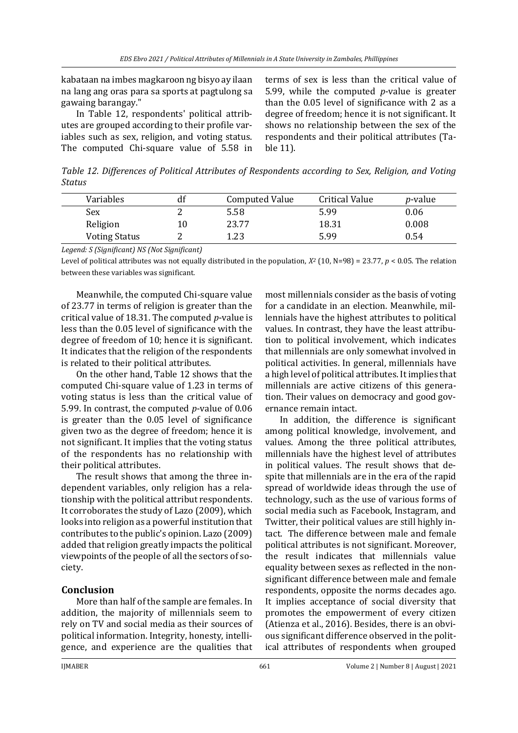kabataan na imbes magkaroon ng bisyo ay ilaan na lang ang oras para sa sports at pagtulong sa gawaing barangay."

In Table 12, respondents' political attributes are grouped according to their profile variables such as sex, religion, and voting status. The computed Chi-square value of 5.58 in terms of sex is less than the critical value of 5.99, while the computed *p*-value is greater than the 0.05 level of significance with 2 as a degree of freedom; hence it is not significant. It shows no relationship between the sex of the respondents and their political attributes (Table 11).

*Table 12. Differences of Political Attributes of Respondents according to Sex, Religion, and Voting Status*

| Variables            |    | <b>Computed Value</b> | <b>Critical Value</b> | <i>p</i> -value |
|----------------------|----|-----------------------|-----------------------|-----------------|
| Sex                  | ∸  | 5.58                  | 5.99                  | 0.06            |
| Religion             | 10 | 23.77                 | 18.31                 | 0.008           |
| <b>Voting Status</b> |    | 1.23                  | 5.99                  | 0.54            |

*Legend: S (Significant) NS (Not Significant)*

Level of political attributes was not equally distributed in the population,  $X^2$  (10, N=98) = 23.77,  $p < 0.05$ . The relation between these variables was significant.

Meanwhile, the computed Chi-square value of 23.77 in terms of religion is greater than the critical value of 18.31. The computed *p*-value is less than the 0.05 level of significance with the degree of freedom of 10; hence it is significant. It indicates that the religion of the respondents is related to their political attributes.

On the other hand, Table 12 shows that the computed Chi-square value of 1.23 in terms of voting status is less than the critical value of 5.99. In contrast, the computed *p*-value of 0.06 is greater than the 0.05 level of significance given two as the degree of freedom; hence it is not significant. It implies that the voting status of the respondents has no relationship with their political attributes.

The result shows that among the three independent variables, only religion has a relationship with the political attribut respondents. It corroborates the study of Lazo (2009), which looks into religion as a powerful institution that contributes to the public's opinion. Lazo (2009) added that religion greatly impacts the political viewpoints of the people of all the sectors of society.

#### **Conclusion**

More than half of the sample are females. In addition, the majority of millennials seem to rely on TV and social media as their sources of political information. Integrity, honesty, intelligence, and experience are the qualities that

most millennials consider as the basis of voting for a candidate in an election. Meanwhile, millennials have the highest attributes to political values. In contrast, they have the least attribution to political involvement, which indicates that millennials are only somewhat involved in political activities. In general, millennials have a high level of political attributes. It implies that millennials are active citizens of this generation. Their values on democracy and good governance remain intact.

In addition, the difference is significant among political knowledge, involvement, and values. Among the three political attributes, millennials have the highest level of attributes in political values. The result shows that despite that millennials are in the era of the rapid spread of worldwide ideas through the use of technology, such as the use of various forms of social media such as Facebook, Instagram, and Twitter, their political values are still highly intact. The difference between male and female political attributes is not significant. Moreover, the result indicates that millennials value equality between sexes as reflected in the nonsignificant difference between male and female respondents, opposite the norms decades ago. It implies acceptance of social diversity that promotes the empowerment of every citizen (Atienza et al., 2016). Besides, there is an obvious significant difference observed in the political attributes of respondents when grouped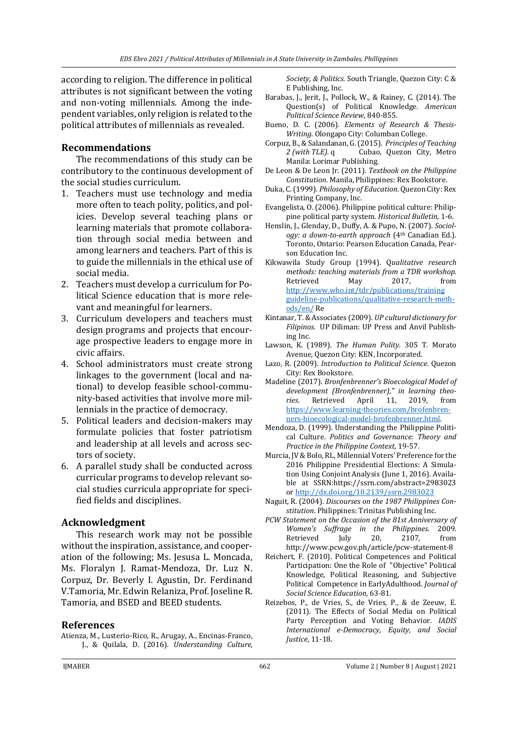according to religion. The difference in political attributes is not significant between the voting and non-voting millennials. Among the independent variables, only religion is related to the political attributes of millennials as revealed.

## **Recommendations**

The recommendations of this study can be contributory to the continuous development of the social studies curriculum.

- 1. Teachers must use technology and media more often to teach polity, politics, and policies. Develop several teaching plans or learning materials that promote collaboration through social media between and among learners and teachers. Part of this is to guide the millennials in the ethical use of social media.
- 2. Teachers must develop a curriculum for Political Science education that is more relevant and meaningful for learners.
- 3. Curriculum developers and teachers must design programs and projects that encourage prospective leaders to engage more in civic affairs.
- 4. School administrators must create strong linkages to the government (local and national) to develop feasible school-community-based activities that involve more millennials in the practice of democracy.
- 5. Political leaders and decision-makers may formulate policies that foster patriotism and leadership at all levels and across sectors of society.
- 6. A parallel study shall be conducted across curricular programs to develop relevant social studies curricula appropriate for specified fields and disciplines.

#### **Acknowledgment**

This research work may not be possible without the inspiration, assistance, and cooperation of the following; Ms. Jesusa L. Moncada, Ms. Floralyn J. Ramat-Mendoza, Dr. Luz N. Corpuz, Dr. Beverly I. Agustin, Dr. Ferdinand V.Tamoria, Mr. Edwin Relaniza, Prof. Joseline R. Tamoria, and BSED and BEED students.

#### **References**

Atienza, M., Lusterio-Rico, R., Arugay, A., Encinas-Franco, J., & Quilala, D. (2016). *Understanding Culture,*  *Society, & Politics.* South Triangle, Quezon City: C & E Publishing, Inc.

- Barabas, J., Jerit, J., Pollock, W., & Rainey, C. (2014). The Question(s) of Political Knowledge. *American Political Science Review*, 840-855.
- Bueno, D. C. (2006). *Elements of Research & Thesis-Writing.* Olongapo City: Columban College.
- Corpuz, B., & Salandanan, G. (2015). *Principles of Teaching 2 (with TLE).* q Cubao, Quezon City, Metro Manila: Lorimar Publishing.
- De Leon & De Leon Jr. (2011). *Textbook on the Philippine Constitution*. Manila, Philippines: Rex Bookstore.
- Duka, C. (1999). *Philosophy of Education.* Quezon City: Rex Printing Company, Inc.
- Evangelista, O. (2006). Philippine political culture: Philippine political party system. *Historical Bulletin,* 1-6.
- Henslin, J., Glenday, D., Duffy, A. & Pupo, N. (2007). *Sociology: a down-to-earth approach* (4th Canadian Ed.). Toronto, Ontario: Pearson Education Canada, Pearson Education Inc.
- Kikwawila Study Group (1994). Q*ualitative research methods: teaching materials from a TDR workshop.*  Retrieved May 2017, from http://www.who.int/tdr/publications/training guideline-publications/qualitative-research-methods/en/ Re
- Kintanar, T. & Associates (2009). *UP cultural dictionary for Filipinos.* UP Diliman: UP Press and Anvil Publishing Inc.
- Lawson, K. (1989). *The Human Polity.* 305 T. Morato Avenue, Quezon City: KEN, Incorporated.
- Lazo, R. (2009). *Introduction to Political Science*. Quezon City: Rex Bookstore.
- Madeline (2017). *Bronfenbrenner's Bioecological Model of development (Bronfenbrenner)," in learning theories*. Retrieved April 11, 2019, from [https://www.learning-theories.com/brofenbren](https://www.learning-theories.com/brofenbrenners-bioecological-model-brofenbrenner.html)[ners-bioecological-model-brofenbrenner.html.](https://www.learning-theories.com/brofenbrenners-bioecological-model-brofenbrenner.html)
- Mendoza, D. (1999). Understanding the Philippine Political Culture. *Politics and Governance: Theory and Practice in the Philippine Context*, 19-57.
- Murcia, JV & Bolo, RL, Millennial Voters' Preference for the 2016 Philippine Presidential Elections: A Simulation Using Conjoint Analysis (June 1, 2016). Available at SSRN:https://ssrn.com/abstract=2983023 o[r http://dx.doi.org/10.2139/ssrn.2983023](http://dx.doi.org/10.2139/ssrn.2983023)
- Naguit, R. (2004). *Discourses on the 1987 Philippines Constitution*. Philippines: Trinitas Publishing Inc.
- *PCW Statement on the Occasion of the 81st Anniversary of Women's Suffrage in the Philippines.* 2009. Retrieved July 20, 2107, from http://www.pcw.gov.ph/article/pcw-statement-8
- Reichert, F. (2010). Political Competences and Political Participation: One the Role of "Objective" Political Knowledge, Political Reasoning, and Subjective Political Competence in EarlyAdulthood. *Journal of Social Science Education*, 63-81.
- Reizebos, P., de Vries, S., de Vries, P., & de Zeeuw, E. (2011). The Effects of Social Media on Political Party Perception and Voting Behavior. *IADIS International e-Democracy, Equity, and Social Justice*, 11-18.